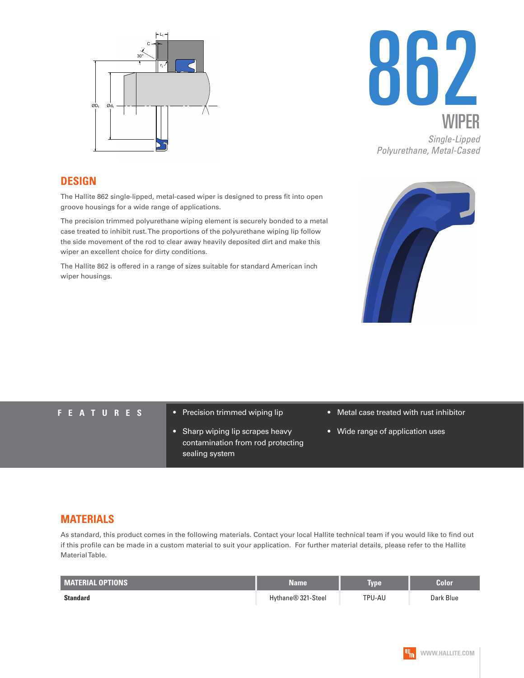



## **DESIGN**

The Hallite 862 single-lipped, metal-cased wiper is designed to press fit into open groove housings for a wide range of applications.

The precision trimmed polyurethane wiping element is securely bonded to a metal case treated to inhibit rust. The proportions of the polyurethane wiping lip follow the side movement of the rod to clear away heavily deposited dirt and make this wiper an excellent choice for dirty conditions.

The Hallite 862 is offered in a range of sizes suitable for standard American inch wiper housings.



- **FEATURES** Precision trimmed wiping lip
	- Sharp wiping lip scrapes heavy contamination from rod protecting sealing system
- Metal case treated with rust inhibitor
- Wide range of application uses

## **MATERIALS**

As standard, this product comes in the following materials. Contact your local Hallite technical team if you would like to find out if this profile can be made in a custom material to suit your application. For further material details, please refer to the Hallite Material Table.

| <b>MATERIAL OPTIONS</b> | Name               | <b>Type</b> | Color     |
|-------------------------|--------------------|-------------|-----------|
| <b>Standard</b>         | Hythane® 321-Steel | TPU-AU      | Dark Blue |

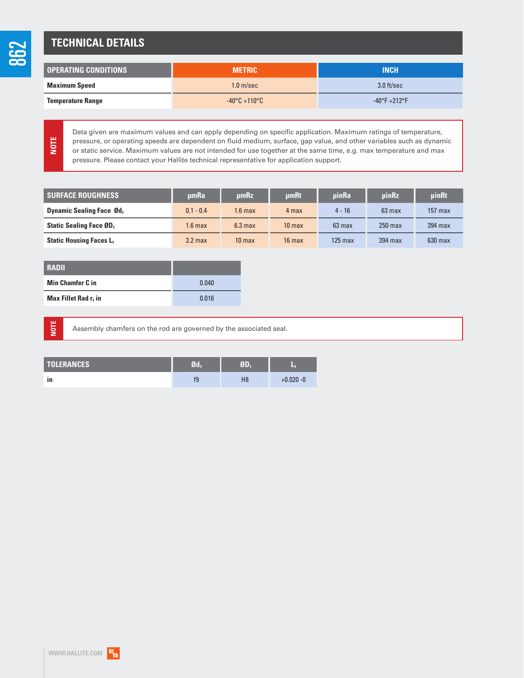## **TECHNICAL DETAILS**

| OPERATING CONDITIONS     | <b>METRIC</b>                   | <b>INCH</b>                   |  |
|--------------------------|---------------------------------|-------------------------------|--|
| <b>Maximum Speed</b>     | 1.0 <sub>m/sec</sub>            | 3.0 ft/sec                    |  |
| <b>Temperature Range</b> | $-40\degree$ C +110 $\degree$ C | $-40^{\circ}F + 212^{\circ}F$ |  |

**NOTE**

Data given are maximum values and can apply depending on specific application. Maximum ratings of temperature, pressure, or operating speeds are dependent on fluid medium, surface, gap value, and other variables such as dynamic or static service. Maximum values are not intended for use together at the same time, e.g. max temperature and max pressure. Please contact your Hallite technical representative for application support.

| <b>SURFACE ROUGHNESS</b>         | umRa               | umRz               | <b>umRt</b>       | uinRa            | uinRz            | <b>uinRt</b> |
|----------------------------------|--------------------|--------------------|-------------------|------------------|------------------|--------------|
| <b>Dynamic Sealing Face Ød</b> , | $0.1 - 0.4$        | $1.6 \text{ max}$  | 4 max             | $4 - 16$         | $63 \text{ max}$ | $157$ max    |
| <b>Static Sealing Face ØD</b> ,  | 1.6 max            | 6.3 <sub>max</sub> | 10 <sub>max</sub> | $63 \text{ max}$ | $250$ max        | 394 max      |
| <b>Static Housing Faces L</b>    | 3.2 <sub>max</sub> | 10 <sub>max</sub>  | $16 \text{ max}$  | $125$ max        | 394 max          | $630$ max    |

| <b>RADII</b>                     |       |
|----------------------------------|-------|
| <b>Min Chamfer C in</b>          | 0.040 |
| Max Fillet Rad r <sub>1</sub> in | 0.016 |

**NOTE**

Assembly chamfers on the rod are governed by the associated seal.

| <b>TOLERANCES</b> | 7d | ëП |              |
|-------------------|----|----|--------------|
| in                | 19 | H8 | $+0.020 - 0$ |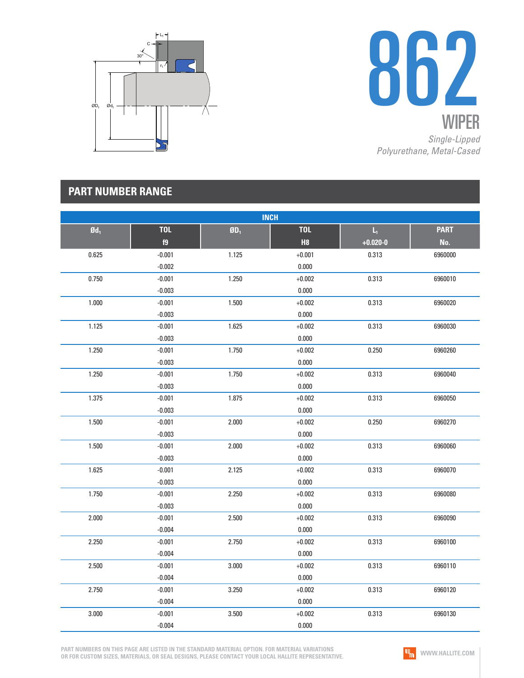



## **PART NUMBER RANGE**

| <b>INCH</b>              |                  |          |                  |                                         |                    |  |
|--------------------------|------------------|----------|------------------|-----------------------------------------|--------------------|--|
| $\mathbf{0}\mathbf{d}_1$ | <b>TOL</b><br>f9 | $$0D_1$$ | <b>TOL</b><br>H8 | $\mathsf{L}_\mathsf{I}$<br>$+0.020 - 0$ | <b>PART</b><br>No. |  |
| 0.625                    | $-0.001$         | 1.125    | $+0.001$         | 0.313                                   | 6960000            |  |
|                          | $-0.002$         |          | 0.000            |                                         |                    |  |
| 0.750                    | $-0.001$         | 1.250    | $+0.002$         | 0.313                                   | 6960010            |  |
|                          | $-0.003$         |          | 0.000            |                                         |                    |  |
| 1.000                    | $-0.001$         | 1.500    | $+0.002$         | 0.313                                   | 6960020            |  |
|                          | $-0.003$         |          | 0.000            |                                         |                    |  |
| 1.125                    | $-0.001$         | 1.625    | $+0.002$         | 0.313                                   | 6960030            |  |
|                          | $-0.003$         |          | 0.000            |                                         |                    |  |
| 1.250                    | $-0.001$         | 1.750    | $+0.002$         | 0.250                                   | 6960260            |  |
|                          | $-0.003$         |          | 0.000            |                                         |                    |  |
| 1.250                    | $-0.001$         | 1.750    | $+0.002$         | 0.313                                   | 6960040            |  |
|                          | $-0.003$         |          | 0.000            |                                         |                    |  |
| 1.375                    | $-0.001$         | 1.875    | $+0.002$         | 0.313                                   | 6960050            |  |
|                          | $-0.003$         |          | 0.000            |                                         |                    |  |
| 1.500                    | $-0.001$         | 2.000    | $+0.002$         | 0.250                                   | 6960270            |  |
|                          | $-0.003$         |          | 0.000            |                                         |                    |  |
| 1.500                    | $-0.001$         | 2.000    | $+0.002$         | 0.313                                   | 6960060            |  |
|                          | $-0.003$         |          | 0.000            |                                         |                    |  |
| 1.625                    | $-0.001$         | 2.125    | $+0.002$         | 0.313                                   | 6960070            |  |
|                          | $-0.003$         |          | 0.000            |                                         |                    |  |
| 1.750                    | $-0.001$         | 2.250    | $+0.002$         | 0.313                                   | 6960080            |  |
|                          | $-0.003$         |          | 0.000            |                                         |                    |  |
| 2.000                    | $-0.001$         | 2.500    | $+0.002$         | 0.313                                   | 6960090            |  |
|                          | $-0.004$         |          | 0.000            |                                         |                    |  |
| 2.250                    | $-0.001$         | 2.750    | $+0.002$         | 0.313                                   | 6960100            |  |
|                          | $-0.004$         |          | 0.000            |                                         |                    |  |
| 2.500                    | $-0.001$         | 3.000    | $+0.002$         | 0.313                                   | 6960110            |  |
|                          | $-0.004$         |          | 0.000            |                                         |                    |  |
| 2.750                    | $-0.001$         | 3.250    | $+0.002$         | 0.313                                   | 6960120            |  |
|                          | $-0.004$         |          | 0.000            |                                         |                    |  |
| 3.000                    | $-0.001$         | 3.500    | $+0.002$         | 0.313                                   | 6960130            |  |
|                          | $-0.004$         |          | 0.000            |                                         |                    |  |

**PART NUMBERS ON THIS PAGE ARE LISTED IN THE STANDARD MATERIAL OPTION. FOR MATERIAL VARIATIONS OR FOR CUSTOM SIZES, MATERIALS, OR SEAL DESIGNS, PLEASE CONTACT YOUR LOCAL HALLITE REPRESENTATIVE.**